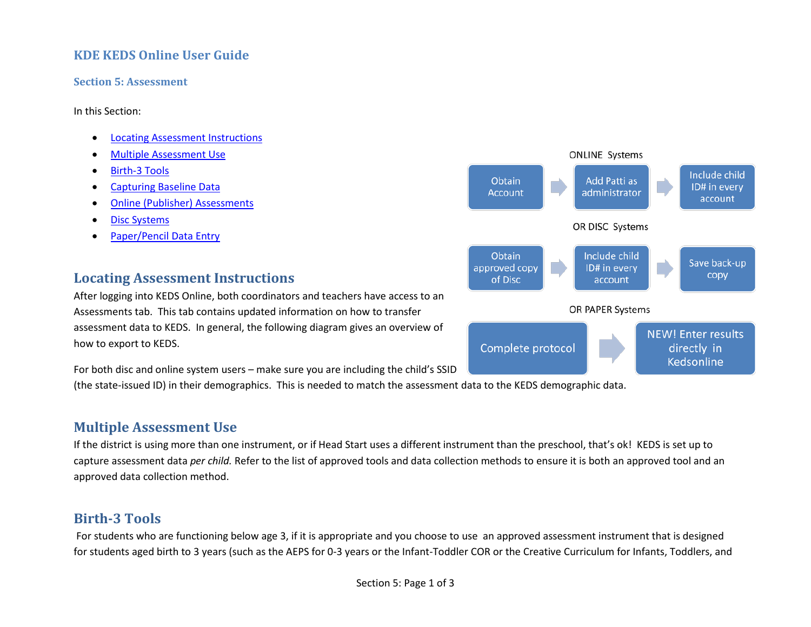### **KDE KEDS Online User Guide**

#### **Section 5: Assessment**

In this Section:

- [Locating Assessment Instructions](#page-0-0)
- [Multiple Assessment Use](#page-0-1)
- [Birth-3 Tools](#page-0-2)
- [Capturing Baseline Data](#page-1-0)
- [Online \(Publisher\) Assessments](#page-1-1)
- [Disc Systems](#page-2-0)
- <span id="page-0-0"></span>• [Paper/Pencil Data Entry](#page-2-1)

## **Locating Assessment Instructions**

After logging into KEDS Online, both coordinators and teachers have access to an Assessments tab. This tab contains updated information on how to transfer assessment data to KEDS. In general, the following diagram gives an overview of how to export to KEDS.

For both disc and online system users – make sure you are including the child's SSID

(the state-issued ID) in their demographics. This is needed to match the assessment data to the KEDS demographic data.

# <span id="page-0-1"></span>**Multiple Assessment Use**

If the district is using more than one instrument, or if Head Start uses a different instrument than the preschool, that's ok! KEDS is set up to capture assessment data *per child.* Refer to the list of approved tools and data collection methods to ensure it is both an approved tool and an approved data collection method.

## <span id="page-0-2"></span>**Birth-3 Tools**

For students who are functioning below age 3, if it is appropriate and you choose to use an approved assessment instrument that is designed for students aged birth to 3 years (such as the AEPS for 0-3 years or the Infant-Toddler COR or the Creative Curriculum for Infants, Toddlers, and

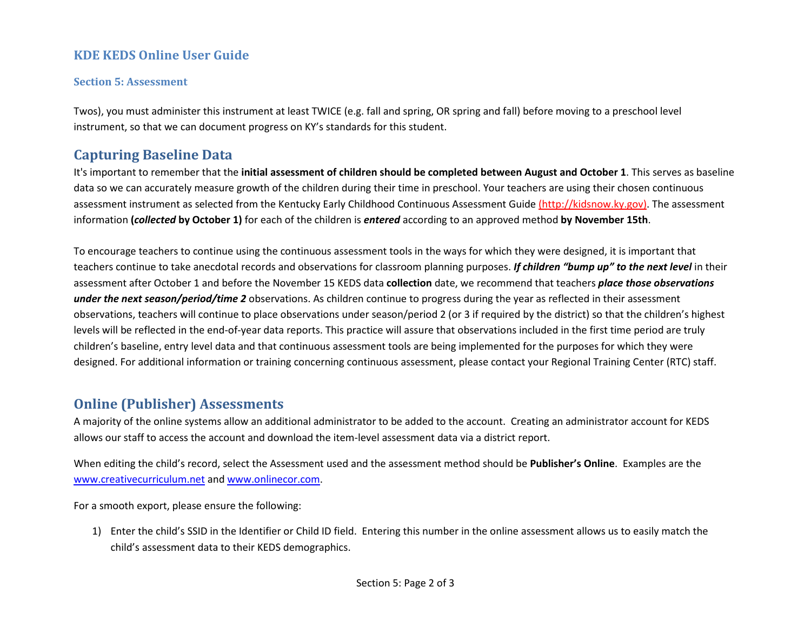### **KDE KEDS Online User Guide**

#### **Section 5: Assessment**

Twos), you must administer this instrument at least TWICE (e.g. fall and spring, OR spring and fall) before moving to a preschool level instrument, so that we can document progress on KY's standards for this student.

## <span id="page-1-0"></span>**Capturing Baseline Data**

It's important to remember that the **initial assessment of children should be completed between August and October 1**. This serves as baseline data so we can accurately measure growth of the children during their time in preschool. Your teachers are using their chosen continuous assessment instrument as selected from the Kentucky Early Childhood Continuous Assessment Guide [\(http://kidsnow.ky.gov\).](http://kidsnow.ky.gov/) The assessment information **(***collected* **by October 1)** for each of the children is *entered* according to an approved method **by November 15th**.

To encourage teachers to continue using the continuous assessment tools in the ways for which they were designed, it is important that teachers continue to take anecdotal records and observations for classroom planning purposes. *If children "bump up" to the next level* in their assessment after October 1 and before the November 15 KEDS data **collection** date, we recommend that teachers *place those observations under the next season/period/time 2* observations. As children continue to progress during the year as reflected in their assessment observations, teachers will continue to place observations under season/period 2 (or 3 if required by the district) so that the children's highest levels will be reflected in the end-of-year data reports. This practice will assure that observations included in the first time period are truly children's baseline, entry level data and that continuous assessment tools are being implemented for the purposes for which they were designed. For additional information or training concerning continuous assessment, please contact your Regional Training Center (RTC) staff.

# <span id="page-1-1"></span>**Online (Publisher) Assessments**

A majority of the online systems allow an additional administrator to be added to the account. Creating an administrator account for KEDS allows our staff to access the account and download the item-level assessment data via a district report.

When editing the child's record, select the Assessment used and the assessment method should be **Publisher's Online**. Examples are the [www.creativecurriculum.net](http://www.creativecurriculum.net/) and [www.onlinecor.com.](http://www.onlinecor.com/)

For a smooth export, please ensure the following:

1) Enter the child's SSID in the Identifier or Child ID field. Entering this number in the online assessment allows us to easily match the child's assessment data to their KEDS demographics.